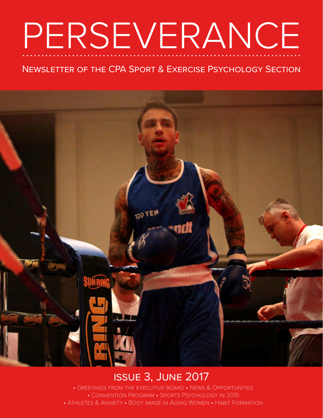# PERSEVERANCE

### Newsletter of the CPA Sport & Exercise Psychology Section



## issue 3, June 2017

• Greetings from the executive board • News & Opportunities • CONVENTION PROGRAM • SPORTS PSYCHOLOGY IN 2015 • Athletes & Anxiety • Body image in Aging Women • Habit Formation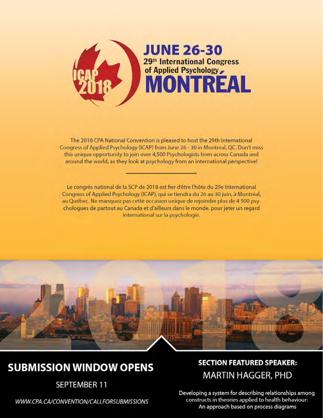

The 2018 CPA National Convention is pleased to host the 29th International Congress of Applied Psychology (ICAP) from June 26 - 30 in Montreal, QC. Don't miss this unique opportunity to join over 4,500 Psychologists from across Canada and around the world, as they look at psychology from an international perspective!

Le congrès national de la SCP de 2018 est fier d'être l'hôte du 29e International Congress of Applied Psychology (ICAP), qui se tiendra du 26 au 30 juin, à Montréal, au Québec. Ne manquez pas cette occasion unique de rejoindre plus de 4 500 psychologues de partout au Canada et d'ailleurs dans le monde, pour jeter un regard international sur la psychologie.



## **SUBMISSION WINDOW OPENS**

**SEPTEMBER 11** 

WWW.CPA.CA/CONVENTION/CALLFORSUBMISSIONS

### **SECTION FEATURED SPEAKER: MARTIN HAGGER, PHD**

Developing a system for describing relationships among constructs in theories applied to health behaviour: An approach based on process diagrams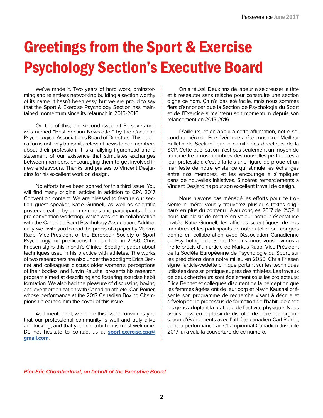# Greetings from the Sport & Exercise Psychology Section's Executive Board

We've made it. Two years of hard work, brainstorming and relentless networking building a section worthy of its name. It hasn't been easy, but we are proud to say that the Sport & Exercise Psychology Section has maintained momentum since its relaunch in 2015-2016.

On top of this, the second issue of Perseverance was named "Best Section Newsletter" by the Canadian Psychological Association's Board of Directors. This publication is not only transmits relevant news to our members about their profession, it is a rallying figurehead and a statement of our existence that stimulates exchanges between members, encouraging them to get involved in new endeavours. Thanks and praises to Vincent Desjardins for his excellent work on design.

No efforts have been spared for this third issue: You will find many original articles in addition to CPA 2017 Convention content. We are pleased to feature our section guest speaker, Katie Gunnell, as well as scientific posters created by our members and participants of our pre-convention workshop, which was led in collaboration with the Canadian Sport Psychology Association. Additionally, we invite you to read the précis of a paper by Markus Raab, Vice-President of the European Society of Sport Psychology, on predictions for our field in 2050. Chris Friesen signs this month's Clinical Spotlight paper about techniques used in his practice with athletes. The works of two researchers are also under the spotlight: Erica Bennet and colleagues discuss older women's perceptions of their bodies, and Navin Kaushal presents his research program aimed at describing and fostering exercise habit formation. We also had the pleasure of discussing boxing and event organization with Canadian athlete, Carl Poirier, whose performance at the 2017 Canadian Boxing Championship earned him the cover of this issue.

As I mentioned, we hope this issue convinces you that our professional community is well and truly alive and kicking, and that your contribution is most welcome. Do not hesitate to contact us at **[sport.exercise.cpa@](mailto:sport.exercise.cpa%40gmail.com?subject=) [gmail.com](mailto:sport.exercise.cpa%40gmail.com?subject=)**.

On a réussi. Deux ans de labeur, à se creuser la tête et à réseauter sans relâche pour construire une section digne ce nom. Ça n'a pas été facile, mais nous sommes fiers d'annoncer que la Section de Psychologie du Sport et de l'Exercice a maintenu son momentum depuis son relancement en 2015-2016.

D'ailleurs, et en appui à cette affirmation, notre second numéro de Persévérance a été consacré "Meilleur Bulletin de Section" par le comité des directeurs de la SCP. Cette publication n'est pas seulement un moyen de transmettre à nos membres des nouvelles pertinentes à leur profession: c'est à la fois une figure de proue et un manifeste de notre existence qui stimule les échanges entre nos membres, et les encourage à s'impliquer dans de nouvelles initiatives. Sincères remerciements à Vincent Desjardins pour son excellent travail de design.

Nous n'avons pas ménagé les efforts pour ce troisième numéro: vous y trouverez plusieurs textes originaux en plus du contenu lié au congrès 2017 de l'ACP. Il nous fait plaisir de mettre en valeur notre présentatrice invitée Katie Gunnell, les affiches scientifiques de nos membres et les participants de notre atelier pré-congrès donné en collaboration avec l'Association Canadienne de Psychologie du Sport. De plus, nous vous invitons à lire le précis d'un article de Markus Raab, Vice-Président de la Société Européenne de Psychologie du Sport, sur les prédictions dans notre milieu en 2050. Chris Friesen signe l'article-vedette clinique portant sur les techniques utilisées dans sa pratique auprès des athlètes. Les travaux de deux chercheurs sont également sous les projecteurs: Erica Bennet et collègues discutent de la perception que les femmes âgées ont de leur corp et Navin Kaushal présente son programme de recherche visant à décrire et développer le processus de formation de l'habitude chez les gens adoptant la pratique de l'activité physique. Nous avons aussi eu le plaisir de discuter de boxe et d'organisation d'événements avec l'athlète canadien Carl Poirier, dont la performance au Championnat Canadien Juvénile 2017 lui a valu la couverture de ce numéro.

*Pier-Eric Chamberland, on behalf of the Executive Board*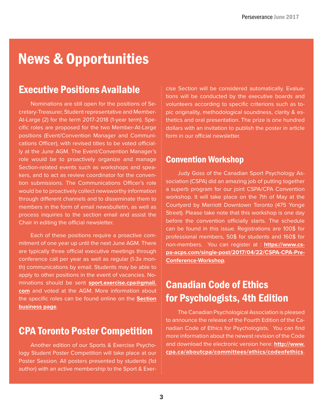# News & Opportunities

### Executive Positions Available

Nominations are still open for the positions of Secretary-Treasurer, Student representative and Member-At-Large (2) for the term 2017-2018 (1-year term). Specific roles are proposed for the two Member-At-Large positions (Event/Convention Manager and Communications Officer), with revised titles to be voted officially at the June AGM. The Event/Convention Manager's role would be to proactively organize and manage Section-related events such as workshops and speakers, and to act as review coordinator for the convention submissions. The Communications Officer's role would be to proactively collect newsworthy information through different channels and to disseminate them to members in the form of email newsbulletin, as well as process inquiries to the section email and assist the Chair in editing the official newsletter.

Each of these positions require a proactive commitment of one year up until the next June AGM. There are typically three official executive meetings through conference call per year as well as regular (1-3x month) communications by email. Students may be able to apply to other positions in the event of vacancies. Nominations should be sent **[sport.exercise.cpa@gmail.](mailto:sport.exercise.cpa%40gmail.com?subject=Nomination) [com](mailto:sport.exercise.cpa%40gmail.com?subject=Nomination)** and voted at the AGM. More information about the specific roles can be found online on the **[Section](http://www.cpa.ca/aboutcpa/cpasections/sportandexercise/sportandexercisesectionbusiness/)  [business page](http://www.cpa.ca/aboutcpa/cpasections/sportandexercise/sportandexercisesectionbusiness/)**.

### CPA Toronto Poster Competition

Another edition of our Sports & Exercise Psychology Student Poster Competition will take place at our Poster Session. All posters presented by students (1st author) with an active membership to the Sport & Exercise Section will be considered automatically. Evaluations will be conducted by the executive boards and volunteers according to specific criterions such as topic originality, methodological soundness, clarity & esthetics and oral presentation. The prize is one hundred dollars with an invitation to publish the poster in article form in our official newsletter.

#### Convention Workshop

Judy Goss of the Canadian Sport Psychology Association (CSPA) did an amazing job of putting together a superb program for our joint CSPA/CPA Convention workshop. It will take place on the 7th of May at the Courtyard by Marriott Downtown Toronto (475 Yonge Street). Please take note that this workshop is one day before the convention officially starts. The schedule can be found in this issue. Registrations are 100\$ for professional members, 50\$ for students and 160\$ for non-members. You can register at : **[https://www.cs](https://www.cspa-acps.com/single-post/2017/04/22/CSPA-CPA-Pre-Conference-Workshop)[pa-acps.com/single-post/2017/04/22/CSPA-CPA-Pre-](https://www.cspa-acps.com/single-post/2017/04/22/CSPA-CPA-Pre-Conference-Workshop)[Conference-Workshop](https://www.cspa-acps.com/single-post/2017/04/22/CSPA-CPA-Pre-Conference-Workshop)**.

### Canadian Code of Ethics for Psychologists, 4th Edition

The Canadian Psychological Association is pleased to announce the release of the Fourth Edition of the Canadian Code of Ethics for Psychologists. You can find more information about the newest revision of the Code and download the electronic version here: **[http://www.](http://www.cpa.ca/aboutcpa/committees/ethics/codeofethics) [cpa.ca/aboutcpa/committees/ethics/codeofethics](http://www.cpa.ca/aboutcpa/committees/ethics/codeofethics)**.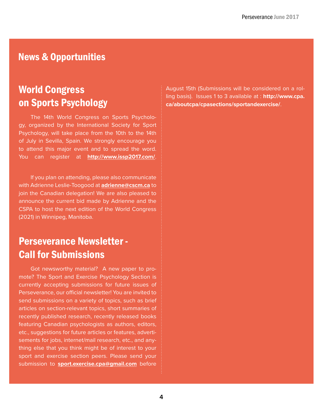### News & Opportunities

## World Congress on Sports Psychology

The 14th World Congress on Sports Psychology, organized by the International Society for Sport Psychology, will take place from the 10th to the 14th of July in Sevilla, Spain. We strongly encourage you to attend this major event and to spread the word. You can register at **[http://www.issp2017.com/](http://www.issp2017.com/
)**.

If you plan on attending, please also communicate with Adrienne Leslie-Toogood at **[adrienne@cscm.ca](mailto:adrienne%40cscm.ca?subject=)** to join the Canadian delegation! We are also pleased to announce the current bid made by Adrienne and the CSPA to host the next edition of the World Congress (2021) in Winnipeg, Manitoba.

### Perseverance Newsletter - Call for Submissions

Got newsworthy material? A new paper to promote? The Sport and Exercise Psychology Section is currently accepting submissions for future issues of Perseverance, our official newsletter! You are invited to send submissions on a variety of topics, such as brief articles on section-relevant topics, short summaries of recently published research, recently released books featuring Canadian psychologists as authors, editors, etc., suggestions for future articles or features, advertisements for jobs, internet/mail research, etc., and anything else that you think might be of interest to your sport and exercise section peers. Please send your submission to **[sport.exercise.cpa@gmail.com](mailto:sport.exercise.cpa%40gmail.com?subject=Submission%20%3A%20)** before

August 15th (Submissions will be considered on a rolling basis). Issues 1 to 3 available at : **[http://www.cpa.](http://www.cpa.ca/aboutcpa/cpasections/sportandexercise/) [ca/aboutcpa/cpasections/sportandexercise/](http://www.cpa.ca/aboutcpa/cpasections/sportandexercise/)**.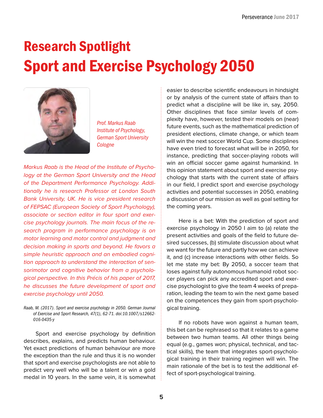# Research Spotlight Sport and Exercise Psychology 2050



*Prof. Markus Raab Institute of Psychology, German Sport University Cologne*

*Markus Raab is the Head of the Institute of Psychology at the German Sport University and the Head of the Department Performance Psychology. Additionally he is research Professor at London South Bank University, UK. He is vice president research of FEPSAC (European Society of Sport Psychology), associate or section editor in four sport and exercise psychology journals. The main focus of the research program in performance psychology is on motor learning and motor control and judgment and decision making in sports and beyond. He favors a simple heuristic approach and an embodied cognition approach to understand the interaction of sensorimotor and cognitive behavior from a psychological perspective. In this Précis of his paper of 2017, he discusses the future development of sport and exercise psychology until 2050.*

*Raab, M. (2017). Sport and exercise psychology in 2050. German Journal of Exercise and Sport Research, 47(1), 62-71. doi:10.1007/s12662- 016-0435-y*

Sport and exercise psychology by definition describes, explains, and predicts human behaviour. Yet exact predictions of human behaviour are more the exception than the rule and thus it is no wonder that sport and exercise psychologists are not able to predict very well who will be a talent or win a gold medal in 10 years. In the same vein, it is somewhat easier to describe scientific endeavours in hindsight or by analysis of the current state of affairs than to predict what a discipline will be like in, say, 2050. Other disciplines that face similar levels of complexity have, however, tested their models on (near) future events, such as the mathematical prediction of president elections, climate change, or which team will win the next soccer World Cup. Some disciplines have even tried to forecast what will be in 2050, for instance, predicting that soccer-playing robots will win an official soccer game against humankind. In this opinion statement about sport and exercise psychology that starts with the current state of affairs in our field, I predict sport and exercise psychology activities and potential successes in 2050, enabling a discussion of our mission as well as goal setting for the coming years.

Here is a bet: With the prediction of sport and exercise psychology in 2050 I aim to (a) relate the present activities and goals of the field to future desired successes, (b) stimulate discussion about what we want for the future and partly how we can achieve it, and (c) increase interactions with other fields. So let me state my bet: By 2050, a soccer team that loses against fully autonomous humanoid robot soccer players can pick any accredited sport and exercise psychologist to give the team 4 weeks of preparation, leading the team to win the next game based on the competences they gain from sport-psychological training.

If no robots have won against a human team, this bet can be rephrased so that it relates to a game between two human teams. All other things being equal (e.g., games won; physical, technical, and tactical skills), the team that integrates sport-psychological training in their training regimen will win. The main rationale of the bet is to test the additional effect of sport-psychological training.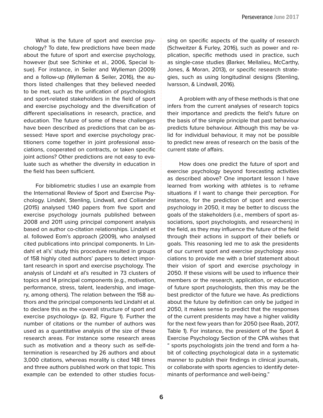What is the future of sport and exercise psychology? To date, few predictions have been made about the future of sport and exercise psychology, however (but see Schinke et al., 2006, Special Issue). For instance, in Seiler and Wylleman (2009) and a follow-up (Wylleman & Seiler, 2016), the authors listed challenges that they believed needed to be met, such as the unification of psychologists and sport-related stakeholders in the field of sport and exercise psychology and the diversification of different specialisations in research, practice, and education. The future of some of these challenges have been described as predictions that can be assessed: Have sport and exercise psychology practitioners come together in joint professional associations, cooperated on contracts, or taken specific joint actions? Other predictions are not easy to evaluate such as whether the diversity in education in the field has been sufficient.

For bibliometric studies I use an example from the International Review of Sport and Exercise Psychology. Lindahl, Stenling, Lindwall, and Colliander (2015) analysed 1,140 papers from five sport and exercise psychology journals published between 2008 and 2011 using principal component analysis based on author co-citation relationships. Lindahl et al. followed Eom's approach (2009), who analysed cited publications into principal components. In Lindahl et al's' study this procedure resulted in groups of 158 highly cited authors' papers to detect important research in sport and exercise psychology. The analysis of Lindahl et al's resulted in 73 clusters of topics and 14 principal components (e.g., motivation, performance, stress, talent, leadership, and imagery, among others). The relation between the 158 authors and the principal components led Lindahl et al. to declare this as the «overall structure of sport and exercise psychology» (p. 82, Figure 1). Further the number of citations or the number of authors was used as a quantitative analysis of the size of these research areas. For instance some research areas such as motivation and a theory such as self-determination is researched by 26 authors and about 3,000 citations, whereas morality is cited 148 times and three authors published work on that topic. This example can be extended to other studies focussing on specific aspects of the quality of research (Schweitzer & Furley, 2016), such as power and replication, specific methods used in practice, such as single-case studies (Barker, Mellalieu, McCarthy, Jones, & Moran, 2013), or specific research strategies, such as using longitudinal designs (Stenling, Ivarsson, & Lindwall, 2016).

A problem with any of these methods is that one infers from the current analyses of research topics their importance and predicts the field's future on the basis of the simple principle that past behaviour predicts future behaviour. Although this may be valid for individual behaviour, it may not be possible to predict new areas of research on the basis of the current state of affairs.

How does one predict the future of sport and exercise psychology beyond forecasting activities as described above? One important lesson I have learned from working with athletes is to reframe situations if I want to change their perception. For instance, for the prediction of sport and exercise psychology in 2050, it may be better to discuss the goals of the stakeholders (i.e., members of sport associations, sport psychologists, and researchers) in the field, as they may influence the future of the field through their actions in support of their beliefs or goals. This reasoning led me to ask the presidents of our current sport and exercise psychology associations to provide me with a brief statement about their vision of sport and exercise psychology in 2050. If these visions will be used to influence their members or the research, application, or education of future sport psychologists, then this may be the best predictor of the future we have. As predictions about the future by definition can only be judged in 2050, it makes sense to predict that the responses of the current presidents may have a higher validity for the next few years than for 2050 (see Raab, 2017, Table 1). For instance, the president of the Sport & Exercise Psychology Section of the CPA wishes that " sports psychologists join the trend and form a habit of collecting psychological data in a systematic manner to publish their findings in clinical journals, or collaborate with sports agencies to identify determinants of performance and well-being."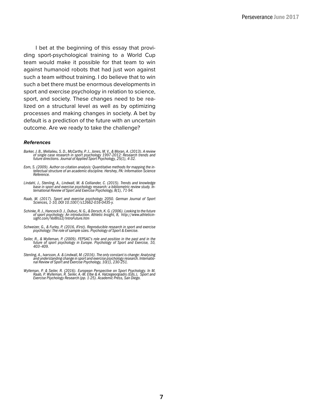I bet at the beginning of this essay that providing sport-psychological training to a World Cup team would make it possible for that team to win against humanoid robots that had just won against such a team without training. I do believe that to win such a bet there must be enormous developments in sport and exercise psychology in relation to science, sport, and society. These changes need to be realized on a structural level as well as by optimizing processes and making changes in society. A bet by default is a prediction of the future with an uncertain outcome. Are we ready to take the challenge?

#### *References*

- Barker, J. B., Mellalieu, S. D., McCarthy, P. J., Jones, M. V., & Moran, A. (2013). A review<br>of single case research in sport psychology 1997-2012: Research trends and<br>future directions. Journal of Applied Sport Psychology
- *Eom, S. (2009). Author co-citation analysis: Quantitative methods for mapping the in- tellectual structure of an academic discipline. Hershey, PA: Information Science Reference.*
- Lindahl, J., Stenling, A., Lindwall, M. & Colliander, C. (2015). Trends and knowledge<br>base in sport and exercise psychology research: a bibliometric review study. In-<br>ternational Review of Sport and Exercise Psychology, 8(
- *Raab, M. (2017). Sport and exercise psychology 2050. German Journal of Sport Sciences, 1-10, DOI 10.1007/s12662-016-0435-y.*
- Schinke, R. J., Hancock D. J., Dubuc, N. G., & Dorsch, K. G. (2006). Looking to the future<br>of sport psychology: An introduction. Athletic Insight, 8, http://www.athleticin-<br>sight.com/Vol8lss3/IntroFuture.htm
- *Schweizer, G., & Furley, P. (2016, iFirst). Reproducible research in sport and exercise psychology: The role of sample sizes. Psychology of Sport & Exercise.*
- *Seiler, R., & Wylleman, P. (2009). FEPSAC's role and position in the past and in the future of sport psychology in Europe. Psychology of Sport and Exercise, 10, 403–409.*
- *Stenling, A., Ivarsson, A. & Lindwall, M. (2016). The only constant is change: Analysing and understanding change in sport and exercise psychology research. Internatio- nal Review of Sport and Exercise Psychology, 10(1), 230-251.*
- Wylleman, P. & Seiler, R. (2016). European Perspective on Sport Psychology. In M.<br>Raab, P. Wylleman, R. Seiler, A.-M. Elbe & A. Hatzegeorgiadis (Eds.), Sport and<br>Exercise Psychology Research (pp. 1-25). Academic Press, San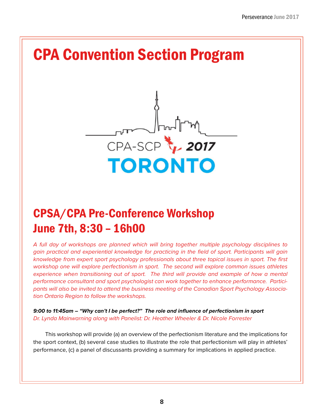# CPA Convention Section Program



# CPSA/CPA Pre-Conference Workshop June 7th, 8:30 – 16h00

*A full day of workshops are planned which will bring together multiple psychology disciplines to gain practical and experiential knowledge for practicing in the field of sport. Participants will gain knowledge from expert sport psychology professionals about three topical issues in sport. The first workshop one will explore perfectionism in sport. The second will explore common issues athletes experience when transitioning out of sport. The third will provide and example of how a mental performance consultant and sport psychologist can work together to enhance performance. Participants will also be invited to attend the business meeting of the Canadian Sport Psychology Association Ontario Region to follow the workshops.*

*9:00 to 11:45am – "Why can't I be perfect?" The role and influence of perfectionism in sport Dr. Lynda Mainwarning along with Panelist: Dr. Heather Wheeler & Dr. Nicole Forrester*

This workshop will provide (a) an overview of the perfectionism literature and the implications for the sport context, (b) several case studies to illustrate the role that perfectionism will play in athletes' performance, (c) a panel of discussants providing a summary for implications in applied practice.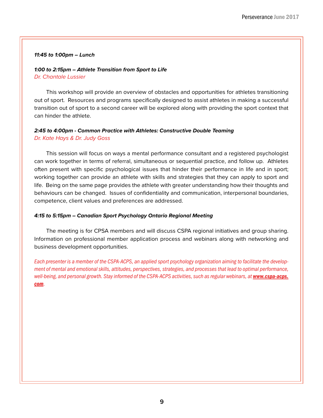#### *11:45 to 1:00pm – Lunch*

#### *1:00 to 2:15pm – Athlete Transition from Sport to Life Dr. Chantale Lussier*

This workshop will provide an overview of obstacles and opportunities for athletes transitioning out of sport. Resources and programs specifically designed to assist athletes in making a successful transition out of sport to a second career will be explored along with providing the sport context that can hinder the athlete.

#### *2:45 to 4:00pm - Common Practice with Athletes: Constructive Double Teaming Dr. Kate Hays & Dr. Judy Goss*

This session will focus on ways a mental performance consultant and a registered psychologist can work together in terms of referral, simultaneous or sequential practice, and follow up. Athletes often present with specific psychological issues that hinder their performance in life and in sport; working together can provide an athlete with skills and strategies that they can apply to sport and life. Being on the same page provides the athlete with greater understanding how their thoughts and behaviours can be changed. Issues of confidentiality and communication, interpersonal boundaries, competence, client values and preferences are addressed.

#### *4:15 to 5:15pm – Canadian Sport Psychology Ontario Regional Meeting*

The meeting is for CPSA members and will discuss CSPA regional initiatives and group sharing. Information on professional member application process and webinars along with networking and business development opportunities.

*Each presenter is a member of the CSPA-ACPS, an applied sport psychology organization aiming to facilitate the development of mental and emotional skills, attitudes, perspectives, strategies, and processes that lead to optimal performance,*  well-being, and personal growth. Stay informed of the CSPA-ACPS activities, such as regular webinars, at **[www.cspa-acps](http://www.cspa-acps.com)**. *com.*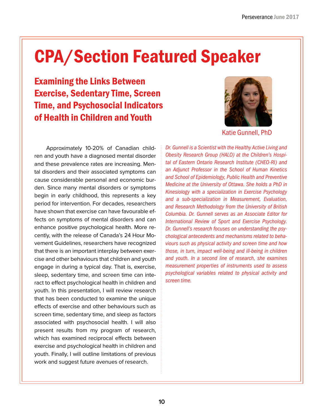# CPA/Section Featured Speaker

Examining the Links Between Exercise, Sedentary Time, Screen Time, and Psychosocial Indicators of Health in Children and Youth



Katie Gunnell, PhD

Approximately 10-20% of Canadian children and youth have a diagnosed mental disorder and these prevalence rates are increasing. Mental disorders and their associated symptoms can cause considerable personal and economic burden. Since many mental disorders or symptoms begin in early childhood, this represents a key period for intervention. For decades, researchers have shown that exercise can have favourable effects on symptoms of mental disorders and can enhance positive psychological health. More recently, with the release of Canada's 24 Hour Movement Guidelines, researchers have recognized that there is an important interplay between exercise and other behaviours that children and youth engage in during a typical day. That is, exercise, sleep, sedentary time, and screen time can interact to effect psychological health in children and youth. In this presentation, I will review research that has been conducted to examine the unique effects of exercise and other behaviours such as screen time, sedentary time, and sleep as factors associated with psychosocial health. I will also present results from my program of research, which has examined reciprocal effects between exercise and psychological health in children and youth. Finally, I will outline limitations of previous work and suggest future avenues of research.

*Dr. Gunnell is a Scientist with the Healthy Active Living and Obesity Research Group (HALO) at the Children's Hospital of Eastern Ontario Research Institute (CHEO-RI) and an Adjunct Professor in the School of Human Kinetics and School of Epidemiology, Public Health and Preventive Medicine at the University of Ottawa. She holds a PhD in Kinesiology with a specialization in Exercise Psychology and a sub-specialization in Measurement, Evaluation, and Research Methodology from the University of British Columbia. Dr. Gunnell serves as an Associate Editor for International Review of Sport and Exercise Psychology. Dr. Gunnell's research focuses on understanding the psychological antecedents and mechanisms related to behaviours such as physical activity and screen time and how those, in turn, impact well-being and ill-being in children and youth. In a second line of research, she examines measurement properties of instruments used to assess psychological variables related to physical activity and screen time.*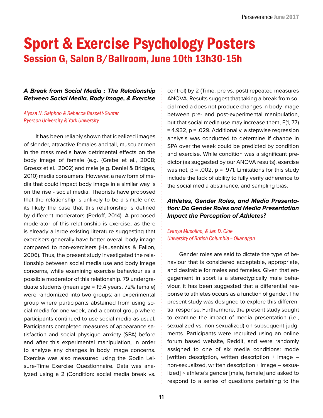# Sport & Exercise Psychology Posters Session G, Salon B/Ballroom, June 10th 13h30-15h

#### *A Break from Social Media : The Relationship Between Social Media, Body Image, & Exercise*

*Alyssa N. Saiphoo & Rebecca Bassett-Gunter Ryerson University & York University*

It has been reliably shown that idealized images of slender, attractive females and tall, muscular men in the mass media have detrimental effects on the body image of female (e.g. (Grabe et al., 2008; Groesz et al., 2002) and male (e.g. Daniel & Bridges, 2010) media consumers. However, a new form of media that could impact body image in a similar way is on the rise - social media. Theorists have proposed that the relationship is unlikely to be a simple one; its likely the case that this relationship is defined by different moderators (Perloff, 2014). A proposed moderator of this relationship is exercise, as there is already a large existing literature suggesting that exercisers generally have better overall body image compared to non-exercisers (Hausenblas & Fallon, 2006). Thus, the present study investigated the relationship between social media use and body image concerns, while examining exercise behaviour as a possible moderator of this relationship. 79 undergraduate students (mean age = 19.4 years, 72% female) were randomized into two groups: an experimental group where participants abstained from using social media for one week, and a control group where participants continued to use social media as usual. Participants completed measures of appearance satisfaction and social physique anxiety (SPA) before and after this experimental manipulation, in order to analyze any changes in body image concerns. Exercise was also measured using the Godin Leisure-Time Exercise Questionnaire. Data was analyzed using a 2 (Condition: social media break vs. control) by 2 (Time: pre vs. post) repeated measures ANOVA. Results suggest that taking a break from social media does not produce changes in body image between pre- and post-experimental manipulation, but that social media use may increase them, F(1, 77) = 4.932, p = .029. Additionally, a stepwise regression analysis was conducted to determine if change in SPA over the week could be predicted by condition and exercise. While condition was a significant predictor (as suggested by our ANOVA results), exercise was not,  $β = .002$ ,  $p = .971$ . Limitations for this study include the lack of ability to fully verify adherence to the social media abstinence, and sampling bias.

#### *Athletes, Gender Roles, and Media Presentation: Do Gender Roles and Media Presentation Impact the Perception of Athletes?*

#### *Evanya Musolino, & Jan D. Cioe University of British Columbia – Okanagan*

Gender roles are said to dictate the type of behaviour that is considered acceptable, appropriate, and desirable for males and females. Given that engagement in sport is a stereotypically male behaviour, it has been suggested that a differential response to athletes occurs as a function of gender. The present study was designed to explore this differential response. Furthermore, the present study sought to examine the impact of media presentation (i.e., sexualized vs. non-sexualized) on subsequent judgments. Participants were recruited using an online forum based website, Reddit, and were randomly assigned to one of six media conditions: mode [written description, written description  $+$  image  $$ non-sexualized, written description + image – sexualized] × athlete's gender [male, female] and asked to respond to a series of questions pertaining to the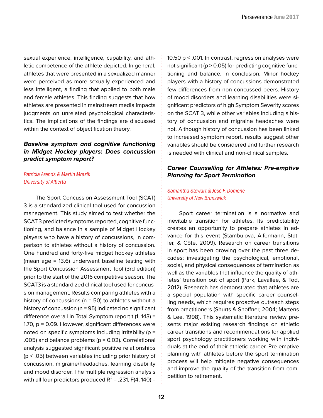sexual experience, intelligence, capability, and athletic competence of the athlete depicted. In general, athletes that were presented in a sexualized manner were perceived as more sexually experienced and less intelligent, a finding that applied to both male and female athletes. This finding suggests that how athletes are presented in mainstream media impacts judgments on unrelated psychological characteristics. The implications of the findings are discussed within the context of objectification theory.

#### *Baseline symptom and cognitive functioning in Midget Hockey players: Does concussion predict symptom report?*

#### *Patricia Arends & Martin Mrazik University of Alberta*

The Sport Concussion Assessment Tool (SCAT) 3 is a standardized clinical tool used for concussion management. This study aimed to test whether the SCAT 3 predicted symptoms reported, cognitive functioning, and balance in a sample of Midget Hockey players who have a history of concussions, in comparison to athletes without a history of concussion. One hundred and forty-five midget hockey athletes (mean age = 13.6) underwent baseline testing with the Sport Concussion Assessment Tool (3rd edition) prior to the start of the 2016 competitive season. The SCAT3 is a standardized clinical tool used for concussion management. Results comparing athletes with a history of concussions ( $n = 50$ ) to athletes without a history of concussion ( $n = 95$ ) indicated no significant difference overall in Total Symptom report t (1, 143) = 1.70, p = 0.09. However, significant differences were noted on specific symptoms including irritability ( $p =$ .005) and balance problems ( $p = 0.02$ ). Correlational analysis suggested significant positive relationships (p < .05) between variables including prior history of concussion, migraine/headaches, learning disability and mood disorder. The multiple regression analysis with all four predictors produced  $R^2$  = .231, F(4, 140) =

10.50 p < .001. In contrast, regression analyses were not significant ( $p > 0.05$ ) for predicting cognitive functioning and balance. In conclusion, Minor hockey players with a history of concussions demonstrated few differences from non concussed peers. History of mood disorders and learning disabilities were significant predictors of high Symptom Severity scores on the SCAT 3, while other variables including a history of concussion and migraine headaches were not. Although history of concussion has been linked to increased symptom report, results suggest other variables should be considered and further research is needed with clinical and non-clinical samples.

#### *Career Counselling for Athletes: Pre-emptive Planning for Sport Termination*

#### *Samantha Stewart & José F. Domene University of New Brunswick*

Sport career termination is a normative and inevitable transition for athletes. Its predictability creates an opportunity to prepare athletes in advance for this event (Stambulova, Alfermann, Statler, & Côté, 2009). Research on career transitions in sport has been growing over the past three decades; investigating the psychological, emotional, social, and physical consequences of termination as well as the variables that influence the quality of athletes' transition out of sport (Park, Lavallee, & Tod, 2012). Research has demonstrated that athletes are a special population with specific career counselling needs, which requires proactive outreach steps from practitioners (Shurts & Shoffner, 2004; Martens & Lee, 1998). This systematic literature review presents major existing research findings on athletic career transitions and recommendations for applied sport psychology practitioners working with individuals at the end of their athletic career. Pre-emptive planning with athletes before the sport termination process will help mitigate negative consequences and improve the quality of the transition from competition to retirement.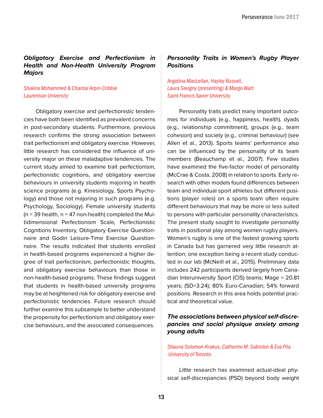#### *Obligatory Exercise and Perfectionism in Health and Non-Health University Program Majors*

#### *Shakira Mohammed & Chantal Arpin-Cribbie Laurentian University*

Obligatory exercise and perfectionistic tendencies have both been identified as prevalent concerns in post-secondary students. Furthermore, previous research confirms the strong association between trait perfectionism and obligatory exercise. However, little research has considered the influence of university major on these maladaptive tendencies. The current study aimed to examine trait perfectionism, perfectionistic cognitions, and obligatory exercise behaviours in university students majoring in health science programs (e.g. Kinesiology, Sports Psychology) and those not majoring in such programs (e.g. Psychology, Sociology). Female university students  $(n = 39$  health,  $n = 47$  non-health) completed the Multidimensional Perfectionism Scale, Perfectionistic Cognitions Inventory, Obligatory Exercise Questionnaire and Godin Leisure-Time Exercise Questionnaire. The results indicated that students enrolled in health-based programs experienced a higher degree of trait perfectionism, perfectionistic thoughts, and obligatory exercise behaviours than those in non-health-based programs. These findings suggest that students in health-based university programs may be at heightened risk for obligatory exercise and perfectionistic tendencies. Future research should further examine this subsample to better understand the propensity for perfectionism and obligatory exercise behaviours, and the associated consequences.

#### *Personality Traits in Women's Rugby Player Positions*

*Angelina MacLellan, Hayley Russell, Laura Sevigny (presenting) & Margo Watt Saint Francis Xavier University*

Personality traits predict many important outcomes for individuals (e.g., happiness, health), dyads (e.g., relationship commitment), groups (e.g., team cohesion) and society (e.g., criminal behaviour) (see Allen et al., 2013). Sports teams' performance also can be influenced by the personality of its team members (Beauchamp et al., 2007). Few studies have examined the five-factor model of personality (McCrae & Costa, 2008) in relation to sports. Early research with other models found differences between team and individual sport athletes but different positions (player roles) on a sports team often require different behaviours that may be more or less suited to persons with particular personality characteristics. The present study sought to investigate personality traits in positional play among women rugby players. Women's rugby is one of the fastest growing sports in Canada but has garnered very little research attention; one exception being a recent study conducted in our lab (McNeill et al., 2015). Preliminary data includes 242 participants derived largely from Canadian Interuniversity Sport (CIS) teams; Mage = 20.81 years; (SD=3.24); 80% Euro-Canadian; 54% forward positions. Research in this area holds potential practical and theoretical value.

#### *The associations between physical self-discrepancies and social physique anxiety among young adults*

#### *Shauna Solomon-Krakus, Catherine M. Sabiston & Eva Pila University of Toronto*

Little research has examined actual-ideal physical self-discrepancies (PSD) beyond body weight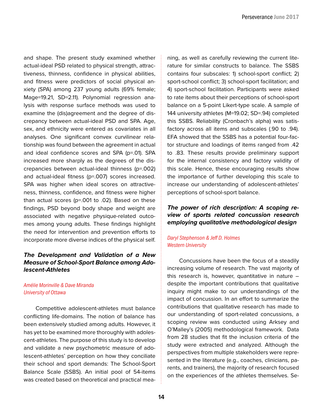and shape. The present study examined whether actual-ideal PSD related to physical strength, attractiveness, thinness, confidence in physical abilities, and fitness were predictors of social physical anxiety (SPA) among 237 young adults (69% female; Mage=19.21, SD=2.11). Polynomial regression analysis with response surface methods was used to examine the (dis)agreement and the degree of discrepancy between actual-ideal PSD and SPA. Age, sex, and ethnicity were entered as covariates in all analyses. One significant convex curvilinear relationship was found between the agreement in actual and ideal confidence scores and SPA (p=.01). SPA increased more sharply as the degrees of the discrepancies between actual-ideal thinness (p=.002) and actual-ideal fitness (p=.007) scores increased. SPA was higher when ideal scores on attractiveness, thinness, confidence, and fitness were higher than actual scores (p=.001 to .02). Based on these findings, PSD beyond body shape and weight are associated with negative physique-related outcomes among young adults. These findings highlight the need for intervention and prevention efforts to incorporate more diverse indices of the physical self.

#### *The Development and Validation of a New Measure of School-Sport Balance among Adolescent-Athletes*

#### *Amélie Morinville & Dave Miranda University of Ottawa*

Competitive adolescent-athletes must balance conflicting life-domains. The notion of balance has been extensively studied among adults. However, it has yet to be examined more thoroughly with adolescent-athletes. The purpose of this study is to develop and validate a new psychometric measure of adolescent-athletes' perception on how they conciliate their school and sport demands: The School-Sport Balance Scale (SSBS). An initial pool of 54-items was created based on theoretical and practical mea-

ning, as well as carefully reviewing the current literature for similar constructs to balance. The SSBS contains four subscales: 1) school-sport conflict; 2) sport-school conflict; 3) school-sport facilitation; and 4) sport-school facilitation. Participants were asked to rate items about their perceptions of school-sport balance on a 5-point Likert-type scale. A sample of 144 university athletes (M=19.02; SD=.94) completed this SSBS. Reliability (Cronbach's alpha) was satisfactory across all items and subscales (.90 to .94). EFA showed that the SSBS has a potential four-factor structure and loadings of items ranged from .42 to .83. These results provide preliminary support for the internal consistency and factory validity of this scale. Hence, these encouraging results show the importance of further developing this scale to increase our understanding of adolescent-athletes' perceptions of school-sport balance.

#### *The power of rich description: A scoping review of sports related concussion research employing qualitative methodological design*

#### *Daryl Stephenson & Jeff D. Holmes Western University*

Concussions have been the focus of a steadily increasing volume of research. The vast majority of this research is, however, quantitative in nature – despite the important contributions that qualitative inquiry might make to our understandings of the impact of concussion. In an effort to summarize the contributions that qualitative research has made to our understanding of sport-related concussions, a scoping review was conducted using Arksey and O'Malley's (2005) methodological framework. Data from 28 studies that fit the inclusion criteria of the study were extracted and analyzed. Although the perspectives from multiple stakeholders were represented in the literature (e.g., coaches, clinicians, parents, and trainers), the majority of research focused on the experiences of the athletes themselves. Se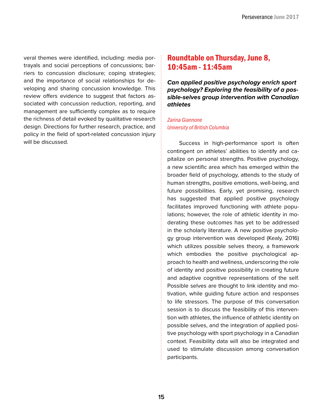veral themes were identified, including: media portrayals and social perceptions of concussions; barriers to concussion disclosure; coping strategies; and the importance of social relationships for developing and sharing concussion knowledge. This review offers evidence to suggest that factors associated with concussion reduction, reporting, and management are sufficiently complex as to require the richness of detail evoked by qualitative research design. Directions for further research, practice, and policy in the field of sport-related concussion injury will be discussed.

#### Roundtable on Thursday, June 8, 10:45am - 11:45am

*Can applied positive psychology enrich sport psychology? Exploring the feasibility of a possible-selves group intervention with Canadian athletes*

#### *Zarina Giannone University of British Columbia*

Success in high-performance sport is often contingent on athletes' abilities to identify and capitalize on personal strengths. Positive psychology, a new scientific area which has emerged within the broader field of psychology, attends to the study of human strengths, positive emotions, well-being, and future possibilities. Early, yet promising, research has suggested that applied positive psychology facilitates improved functioning with athlete populations; however, the role of athletic identity in moderating these outcomes has yet to be addressed in the scholarly literature. A new positive psychology group intervention was developed (Kealy, 2016) which utilizes possible selves theory, a framework which embodies the positive psychological approach to health and wellness, underscoring the role of identity and positive possibility in creating future and adaptive cognitive representations of the self. Possible selves are thought to link identity and motivation, while guiding future action and responses to life stressors. The purpose of this conversation session is to discuss the feasibility of this intervention with athletes, the influence of athletic identity on possible selves, and the integration of applied positive psychology with sport psychology in a Canadian context. Feasibility data will also be integrated and used to stimulate discussion among conversation participants.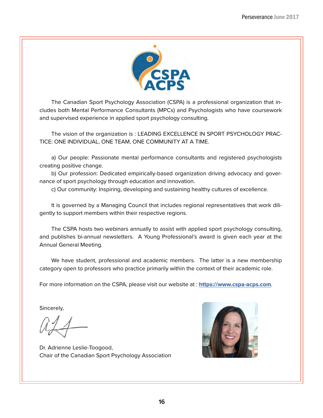

The Canadian Sport Psychology Association (CSPA) is a professional organization that includes both Mental Performance Consultants (MPCs) and Psychologists who have coursework and supervised experience in applied sport psychology consulting.

The vision of the organization is : LEADING EXCELLENCE IN SPORT PSYCHOLOGY PRAC-TICE: ONE INDIVIDUAL, ONE TEAM, ONE COMMUNITY AT A TIME.

a) Our people: Passionate mental performance consultants and registered psychologists creating positive change.

b) Our profession: Dedicated empirically-based organization driving advocacy and governance of sport psychology through education and innovation.

c) Our community: Inspiring, developing and sustaining healthy cultures of excellence.

It is governed by a Managing Council that includes regional representatives that work diligently to support members within their respective regions.

The CSPA hosts two webinars annually to assist with applied sport psychology consulting, and publishes bi-annual newsletters. A Young Professional's award is given each year at the Annual General Meeting.

We have student, professional and academic members. The latter is a new membership category open to professors who practice primarily within the context of their academic role.

For more information on the CSPA, please visit our website at : **<https://www.cspa-acps.com>**.

Sincerely,

Dr. Adrienne Leslie-Toogood, Chair of the Canadian Sport Psychology Association

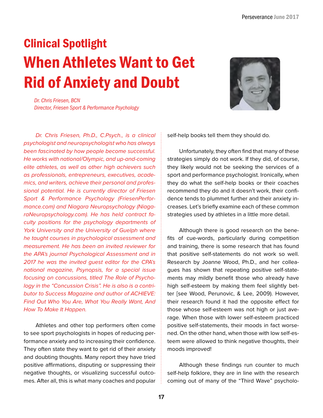# Clinical Spotlight When Athletes Want to Get Rid of Anxiety and Doubt

*Dr. Chris Friesen, BCN Director, Friesen Sport & Performance Psychology*

*Dr. Chris Friesen, Ph.D., C.Psych., is a clinical psychologist and neuropsychologist who has always been fascinated by how people become successful. He works with national/Olympic, and up-and-coming elite athletes, as well as other high achievers such as professionals, entrepreneurs, executives, academics, and writers, achieve their personal and professional potential. He is currently director of Friesen Sport & Performance Psychology (FriesenPerformance.com) and Niagara Neuropsychology (NiagaraNeuropsychology.com). He has held contract faculty positions for the psychology departments of York University and the University of Guelph where he taught courses in psychological assessment and measurement. He has been an invited reviewer for the APA's journal Psychological Assessment and in 2017 he was the invited guest editor for the CPA's national magazine, Psynopsis, for a special issue focusing on concussions, titled The Role of Psychology in the "Concussion Crisis". He is also is a contributor to Success Magazine and author of ACHIEVE: Find Out Who You Are, What You Really Want, And How To Make It Happen.*

Athletes and other top performers often come to see sport psychologists in hopes of reducing performance anxiety and to increasing their confidence. They often state they want to get rid of their anxiety and doubting thoughts. Many report they have tried positive affirmations, disputing or suppressing their negative thoughts, or visualizing successful outcomes. After all, this is what many coaches and popular

self-help books tell them they should do.

Unfortunately, they often find that many of these strategies simply do not work. If they did, of course, they likely would not be seeking the services of a sport and performance psychologist. Ironically, when they do what the self-help books or their coaches recommend they do and it doesn't work, their confidence tends to plummet further and their anxiety increases. Let's briefly examine each of these common strategies used by athletes in a little more detail.

Although there is good research on the benefits of cue-words, particularly during competition and training, there is some research that has found that positive self-statements do not work so well. Research by Joanne Wood, Ph.D., and her colleagues has shown that repeating positive self-statements may mildly benefit those who already have high self-esteem by making them feel slightly better [see Wood, Perunovic, & Lee, 2009). However, their research found it had the opposite effect for those whose self-esteem was not high or just average. When those with lower self-esteem practiced positive self-statements, their moods in fact worsened. On the other hand, when those with low self-esteem were allowed to think negative thoughts, their moods improved!

Although these findings run counter to much self-help folklore, they are in line with the research coming out of many of the "Third Wave" psycholo-

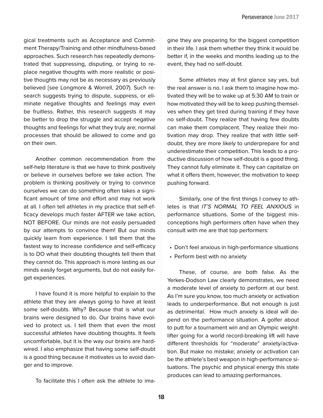gical treatments such as Acceptance and Commitment Therapy/Training and other mindfulness-based approaches. Such research has repeatedly demonstrated that suppressing, disputing, or trying to replace negative thoughts with more realistic or positive thoughts may not be as necessary as previously believed [see Longmore & Worrell, 2007). Such research suggests trying to dispute, suppress, or eliminate negative thoughts and feelings may even be fruitless. Rather, this research suggests it may be better to drop the struggle and accept negative thoughts and feelings for what they truly are; normal processes that should be allowed to come and go on their own.

Another common recommendation from the self-help literature is that we have to think positively or believe in ourselves before we take action. The problem is thinking positively or trying to convince ourselves we can do something often takes a significant amount of time and effort and may not work at all. I often tell athletes in my practice that self-efficacy develops much faster AFTER we take action, NOT BEFORE. Our minds are not easily persuaded by our attempts to convince them! But our minds quickly learn from experience. I tell them that the fastest way to increase confidence and self-efficacy is to DO what their doubting thoughts tell them that they cannot do. This approach is more lasting as our minds easily forget arguments, but do not easily forget experiences.

I have found it is more helpful to explain to the athlete that they are always going to have at least some self-doubts. Why? Because that is what our brains were designed to do. Our brains have evolved to protect us. I tell them that even the most successful athletes have doubting thoughts. It feels uncomfortable, but it is the way our brains are hardwired. I also emphasize that having some self-doubt is a good thing because it motivates us to avoid danger and to improve.

To facilitate this I often ask the athlete to ima-

gine they are preparing for the biggest competition in their life. I ask them whether they think it would be better if, in the weeks and months leading up to the event, they had no self-doubt.

Some athletes may at first glance say yes, but the real answer is no. I ask them to imagine how motivated they will be to wake up at 5:30 AM to train or how motivated they will be to keep pushing themselves when they get tired during training if they have no self-doubt. They realize that having few doubts can make them complacent. They realize their motivation may drop. They realize that with little selfdoubt, they are more likely to underprepare for and underestimate their competition. This leads to a productive discussion of how self-doubt is a good thing. They cannot fully eliminate it. They can capitalize on what it offers them, however; the motivation to keep pushing forward.

Similarly, one of the first things I convey to athletes is that *IT'S NORMAL TO FEEL ANXIOUS* in performance situations. Some of the biggest misconceptions high performers often have when they consult with me are that top performers:

- Don't feel anxious in high-performance situations
- Perform best with no anxiety

These, of course, are both false. As the Yerkes-Dodson Law clearly demonstrates, we need a moderate level of anxiety to perform at our best. As I'm sure you know, too much anxiety or activation leads to underperformance. But not enough is just as detrimental. How much anxiety is ideal will depend on the performance situation. A golfer about to putt for a tournament win and an Olympic weightlifter going for a world record-breaking lift will have different thresholds for "moderate" anxiety/activation. But make no mistake; anxiety or activation can be the athlete's best weapon in high-performance situations. The psychic and physical energy this state produces can lead to amazing performances.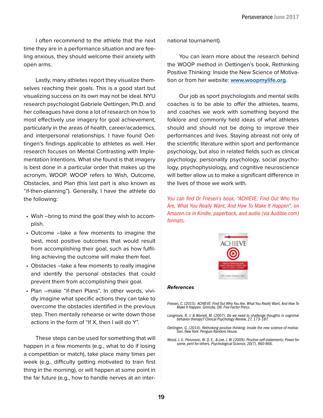I often recommend to the athlete that the next time they are in a performance situation and are feeling anxious, they should welcome their anxiety with open arms.

Lastly, many athletes report they visualize themselves reaching their goals. This is a good start but visualizing success on its own may not be ideal. NYU research psychologist Gabriele Oettingen, Ph.D. and her colleagues have done a lot of research on how to most effectively use imagery for goal achievement, particularly in the areas of health, career/academics, and interpersonal relationships. I have found Oettingen's findings applicable to athletes as well. Her research focuses on Mental Contrasting with Implementation Intentions. What she found is that imagery is best done in a particular order that makes up the acronym, WOOP. WOOP refers to Wish, Outcome, Obstacles, and Plan (this last part is also known as "if-then-planning"). Generally, I have the athlete do the following:

- Wish –bring to mind the goal they wish to accomplish.
- Outcome –take a few moments to imagine the best, most positive outcomes that would result from accomplishing their goal, such as how fulfilling achieving the outcome will make them feel.
- Obstacles –take a few moments to really imagine and identify the personal obstacles that could prevent them from accomplishing their goal.
- Plan –make "if-then Plans". In other words, vividly imagine what specific actions they can take to overcome the obstacles identified in the previous step. Then mentally rehearse or write down those actions in the form of "If X, then I will do Y".

These steps can be used for something that will happen in a few moments (e.g., what to do if losing a competition or match), take place many times per week (e.g., difficulty getting motivated to train first thing in the morning), or will happen at some point in the far future (e.g., how to handle nerves at an international tournament).

You can learn more about the research behind the WOOP method in Oettingen's book, Rethinking Positive Thinking: Inside the New Science of Motivation or from her website: **[www.woopmylife.org](http://www.woopmylife.org)**.

Our job as sport psychologists and mental skills coaches is to be able to offer the athletes, teams, and coaches we work with something beyond the folklore and commonly held ideas of what athletes should and should not be doing to improve their performances and lives. Staying abreast not only of the scientific literature within sport and performance psychology, but also in related fields such as clinical psychology, personality psychology, social psychology, psychophysiology, and cognitive neuroscience will better allow us to make a significant difference in the lives of those we work with.

*You can find Dr Friesen's book, "ACHIEVE: Find Out Who You Are, What You Really Want, And How To Make It Happen", on Amazon.ca in Kindle, paperback, and audio (via Audible.com) formats.*



#### *References*

- *Friesen, C. (2015). ACHIEVE: Find Out Who You Are, What You Really Want, And How To Make It Happen. Grimsby, ON: Five Factor Press.*
- *Longmore, R. J. & Worrell, M. (2007). Do we need to challenge thoughts in cognitive behavior therapy? Clinical Psychology Review, 27, 173–187.*
- *Oettingen, G. (2014). Rethinking positive thinking: Inside the new science of motiva- tion. New York: Penguin Random House.*
- *Wood, J. V., Perunovic, W. Q. E., & Lee, J. W. (2009). Positive self-statements: Power for some, peril for others. Psychological Science, 20(7), 860-866.*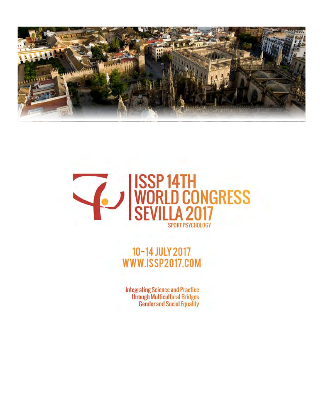



# 10-14 JULY 2017 WWW.ISSP2017.COM

**Integrating Science and Practice** through Multicultural Bridges **Gender and Social Equality**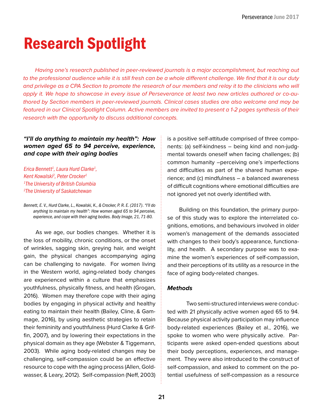# Research Spotlight

*Having one's research published in peer-reviewed journals is a major accomplishment, but reaching out*  to the professional audience while it is still fresh can be a whole different challenge. We find that it is our duty and privilege as a CPA Section to promote the research of our members and relay it to the clinicians who will *apply it. We hope to showcase in every issue of Perseverance at least two new articles authored or co-authored by Section members in peer-reviewed journals. Clinical cases studies are also welcome and may be featured in our Clinical Spotlight Column. Active members are invited to present a 1-2 pages synthesis of their research with the opportunity to discuss additional concepts.* 

#### *"I'll do anything to maintain my health": How women aged 65 to 94 perceive, experience, and cope with their aging bodies*

*Erica Bennett1 , Laura Hurd Clarke1 , Kent Kowalski2 , Peter Crocker1 1 The University of British Columbia 2 The University of Saskatchewan* 

*Bennett, E. V., Hurd Clarke, L., Kowalski, K., & Crocker, P. R. E. (2017). "I'll do anything to maintain my health": How women aged 65 to 94 perceive, experience, and cope with their aging bodies. Body Image, 21, 71-80.* 

As we age, our bodies changes. Whether it is the loss of mobility, chronic conditions, or the onset of wrinkles, sagging skin, greying hair, and weight gain, the physical changes accompanying aging can be challenging to navigate. For women living in the Western world, aging-related body changes are experienced within a culture that emphasizes youthfulness, physically fitness, and health (Grogan, 2016). Women may therefore cope with their aging bodies by engaging in physical activity and healthy eating to maintain their health (Bailey, Cline, & Gammage, 2016), by using aesthetic strategies to retain their femininity and youthfulness (Hurd Clarke & Griffin, 2007), and by lowering their expectations in the physical domain as they age (Webster & Tiggemann, 2003). While aging body-related changes may be challenging, self-compassion could be an effective resource to cope with the aging process (Allen, Goldwasser, & Leary, 2012). Self-compassion (Neff, 2003)

is a positive self-attitude comprised of three components: (a) self-kindness – being kind and non-judgmental towards oneself when facing challenges; (b) common humanity –perceiving one's imperfections and difficulties as part of the shared human experience; and (c) mindfulness – a balanced awareness of difficult cognitions where emotional difficulties are not ignored yet not overly identified with.

Building on this foundation, the primary purpose of this study was to explore the interrelated cognitions, emotions, and behaviours involved in older women's management of the demands associated with changes to their body's appearance, functionality, and health. A secondary purpose was to examine the women's experiences of self-compassion, and their perceptions of its utility as a resource in the face of aging body-related changes.

#### *Methods*

Two semi-structured interviews were conducted with 21 physically active women aged 65 to 94. Because physical activity participation may influence body-related experiences (Bailey et al., 2016), we spoke to women who were physically active. Participants were asked open-ended questions about their body perceptions, experiences, and management. They were also introduced to the construct of self-compassion, and asked to comment on the potential usefulness of self-compassion as a resource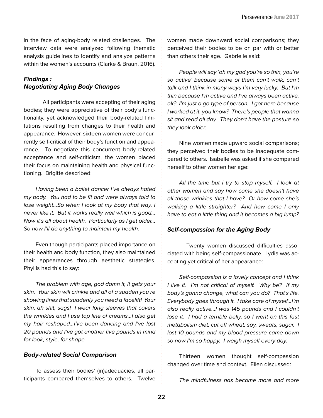in the face of aging-body related challenges. The interview data were analyzed following thematic analysis guidelines to identify and analyze patterns within the women's accounts (Clarke & Braun, 2016).

#### *Findings : Negotiating Aging Body Changes*

All participants were accepting of their aging bodies; they were appreciative of their body's functionality, yet acknowledged their body-related limitations resulting from changes to their health and appearance. However, sixteen women were concurrently self-critical of their body's function and appearance. To negotiate this concurrent body-related acceptance and self-criticism, the women placed their focus on maintaining health and physical functioning. Brigitte described:

*Having been a ballet dancer I've always hated my body. You had to be fit and were always told to lose weight…So when I look at my body that way, I never like it. But it works really well which is good… Now it's all about health. Particularly as I get older… So now I'll do anything to maintain my health.* 

Even though participants placed importance on their health and body function, they also maintained their appearances through aesthetic strategies. Phyllis had this to say:

*The problem with age, god damn it, it gets your skin. Your skin will crinkle and all of a sudden you're showing lines that suddenly you need a facelift! Your skin, ah shit, sags! I wear long sleeves that covers the wrinkles and I use top line of creams…I also get my hair reshaped…I've been dancing and I've lost 20 pounds and I've got another five pounds in mind for look, style, for shape.* 

#### *Body-related Social Comparison*

To assess their bodies' (in)adequacies, all participants compared themselves to others. Twelve women made downward social comparisons; they perceived their bodies to be on par with or better than others their age. Gabrielle said:

*People will say 'oh my god you're so thin, you're so active' because some of them can't walk, can't talk and I think in many ways I'm very lucky. But I'm thin because I'm active and I've always been active, ok? I'm just a go type of person. I got here because I worked at it, you know? There's people that wanna sit and read all day. They don't have the posture so they look older.*

Nine women made upward social comparisons; they perceived their bodies to be inadequate compared to others. Isabelle was asked if she compared herself to other women her age:

*All the time but I try to stop myself. I look at other women and say how come she doesn't have all those wrinkles that I have? Or how come she's walking a little straighter? And how come I only have to eat a little thing and it becomes a big lump?* 

#### *Self-compassion for the Aging Body*

Twenty women discussed difficulties associated with being self-compassionate. Lydia was accepting yet critical of her appearance:

*Self-compassion is a lovely concept and I think I live it. I'm not critical of myself. Why be? If my body's gonna change, what can you do? That's life. Everybody goes through it. I take care of myself…I'm also really active…I was 145 pounds and I couldn't lose it. I had a terrible belly, so I went on this fast metabolism diet, cut off wheat, soy, sweats, sugar. I lost 10 pounds and my blood pressure came down so now I'm so happy. I weigh myself every day.*

Thirteen women thought self-compassion changed over time and context. Ellen discussed:

*The mindfulness has become more and more*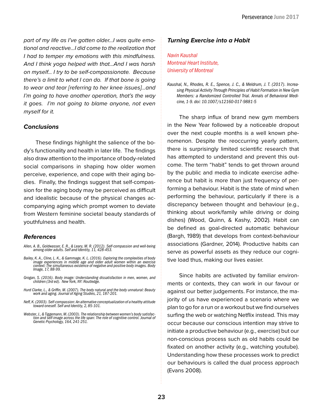*part of my life as I've gotten older…I was quite emotional and reactive…I did come to the realization that I had to temper my emotions with this mindfulness. And I think yoga helped with that…And I was harsh on myself… I try to be self-compassionate. Because there's a limit to what I can do. If that bone is going to wear and tear [referring to her knee issues]…and I'm going to have another operation, that's the way it goes. I'm not going to blame anyone, not even myself for it.*

#### *Conclusions*

These findings highlight the salience of the body's functionality and health in later life. The findings also draw attention to the importance of body-related social comparisons in shaping how older women perceive, experience, and cope with their aging bodies. Finally, the findings suggest that self-compassion for the aging body may be perceived as difficult and idealistic because of the physical changes accompanying aging which prompt women to deviate from Western feminine societal beauty standards of youthfulness and health.

#### *References*

- *Allen, A. B., Goldwasser, E. R., & Leary, M. R. (2012). Self-compassion and well-being among older adults. Self and Identity, 11, 428-453.*
- *Bailey, K. A., Cline, L. K., & Gammage, K. L. (2016). Exploring the complexities of body image experiences in middle age and older adult women within an exercise context: The simultaneous existence of negative and positive body images. Body Image, 17, 88-99.*
- *Grogan, S. (2016). Body image: Understanding dissatisfaction in men, women, and children (3rd ed). New York, NY: Routledge.*
- *Hurd Clarke, L., & Griffin, M. (2007). The body natural and the body unnatural: Beauty work and aging. Journal of Aging Studies, 21, 187-201.*
- *Neff, K. (2003). Self-compassion: An alternative conceptualization of a healthy attitude toward oneself. Self and Identity, 2, 85-101.*
- *Webster, J., & Tiggemann, M. (2003). The relationship between women's body satisfac- tion and self-image across the life span: The role of cognitive control. Journal of Genetic Psychology, 164, 241-251.*

#### *Turning Exercise into a Habit*

*Navin Kaushal Montreal Heart Institute, University of Montreal*

The sharp influx of brand new gym members in the New Year followed by a noticeable dropout over the next couple months is a well known phenomenon. Despite the reoccurring yearly pattern, there is surprisingly limited scientific research that has attempted to understand and prevent this outcome. The term "habit" tends to get thrown around by the public and media to indicate exercise adherence but habit is more than just frequency of performing a behaviour. Habit is the state of mind when performing the behaviour, particularly if there is a discrepancy between thought and behaviour (e.g., thinking about work/family while driving or doing dishes) (Wood, Quinn, & Kashy, 2002). Habit can be defined as goal-directed automatic behaviour (Bargh, 1989) that develops from context-behaviour associations (Gardner, 2014). Productive habits can serve as powerful assets as they reduce our cognitive load thus, making our lives easier.

Since habits are activated by familiar environments or contexts, they can work in our favour or against our better judgements. For instance, the majority of us have experienced a scenario where we plan to go for a run or a workout but we find ourselves surfing the web or watching Netflix instead. This may occur because our conscious intention may strive to initiate a productive behaviour (e.g., exercise) but our non-conscious process such as old habits could be fixated on another activity (e.g., watching youtube). Understanding how these processes work to predict our behaviours is called the dual process approach (Evans 2008).

*Kaushal, N., Rhodes, R. E., Spence, J. C., & Meldrum, J. T. (2017). Increasing Physical Activity Through Principles of Habit Formation in New Gym Members: a Randomized Controlled Trial. Annals of Behavioral Medicine, 1-9. doi: 10.1007/s12160-017-9881-5*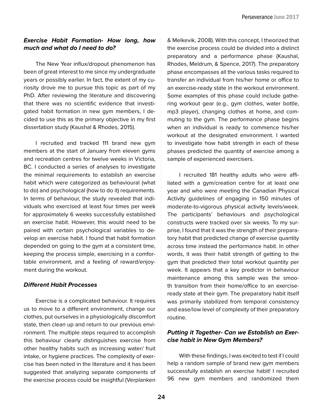#### *Exercise Habit Formation- How long, how much and what do I need to do?*

The New Year influx/dropout phenomenon has been of great interest to me since my undergraduate years or possibly earlier. In fact, the extent of my curiosity drove me to pursue this topic as part of my PhD. After reviewing the literature and discovering that there was no scientific evidence that investigated habit formation in new gym members, I decided to use this as the primary objective in my first dissertation study (Kaushal & Rhodes, 2015).

I recruited and tracked 111 brand new gym members at the start of January from eleven gyms and recreation centres for twelve weeks in Victoria, BC. I conducted a series of analyses to investigate the minimal requirements to establish an exercise habit which were categorized as behavioural (what to do) and psychological (how to do it) requirements. In terms of behaviour, the study revealed that individuals who exercised at least four times per week for approximately 6 weeks successfully established an exercise habit. However, this would need to be paired with certain psychological variables to develop an exercise habit. I found that habit formation depended on going to the gym at a consistent time, keeping the process simple, exercising in a comfortable environment, and a feeling of reward/enjoyment during the workout.

#### *Different Habit Processes*

Exercise is a complicated behaviour. It requires us to move to a different environment, change our clothes, put ourselves in a physiologically discomfort state, then clean up and return to our previous environment. The multiple steps required to accomplish this behaviour clearly distinguishes exercise from other healthy habits such as increasing water/ fruit intake, or hygiene practices. The complexity of exercise has been noted in the literature and it has been suggested that analyzing separate components of the exercise process could be insightful (Verplanken

& Melkevik, 2008). With this concept, I theorized that the exercise process could be divided into a distinct preparatory and a performance phase (Kaushal, Rhodes, Meldrum, & Spence, 2017). The preparatory phase encompasses all the various tasks required to transfer an individual from his/her home or office to an exercise-ready state in the workout environment. Some examples of this phase could include gathering workout gear (e.g., gym clothes, water bottle, mp3 player), changing clothes at home, and commuting to the gym. The performance phase begins when an individual is ready to commence his/her workout at the designated environment. I wanted to investigate how habit strength in each of these phases predicted the quantity of exercise among a sample of experienced exercisers.

I recruited 181 healthy adults who were affiliated with a gym/creation centre for at least one year and who were meeting the Canadian Physical Activity guidelines of engaging in 150 minutes of moderate-to-vigorous physical activity levels/week. The participants' behaviours and psychological constructs were tracked over six weeks. To my surprise, I found that it was the strength of their preparatory habit that predicted change of exercise quantity across time instead the performance habit. In other words, it was their habit strength of getting to the gym that predicted their total workout quantity per week. It appears that a key predictor in behaviour maintenance among this sample was the smooth transition from their home/office to an exerciseready state at their gym. The preparatory habit itself was primarily stabilized from temporal consistency and ease/low level of complexity of their preparatory routine.

#### *Putting it Together- Can we Establish an Exercise habit in New Gym Members?*

With these findings, I was excited to test if I could help a random sample of brand new gym members successfully establish an exercise habit! I recruited 96 new gym members and randomized them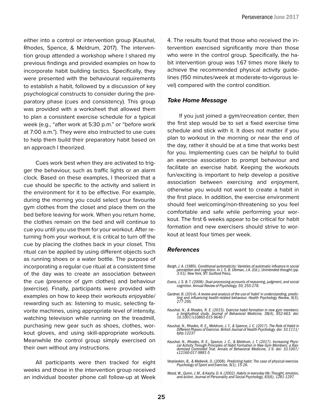either into a control or intervention group (Kaushal, Rhodes, Spence, & Meldrum, 2017). The intervention group attended a workshop where I shared my previous findings and provided examples on how to incorporate habit building tactics. Specifically, they were presented with the behavioural requirements to establish a habit, followed by a discussion of key psychological constructs to consider during the preparatory phase (cues and consistency). This group was provided with a worksheet that allowed them to plan a consistent exercise schedule for a typical week (e.g., "after work at 5:30 p.m." or "before work at 7:00 a.m."). They were also instructed to use cues to help them build their preparatory habit based on an approach I theorized.

Cues work best when they are activated to trigger the behaviour, such as traffic lights or an alarm clock. Based on these examples, I theorized that a cue should be specific to the activity and salient in the environment for it to be effective. For example, during the morning you could select your favourite gym clothes from the closet and place them on the bed before leaving for work. When you return home, the clothes remain on the bed and will continue to cue you until you use them for your workout. After returning from your workout, it is critical to turn off the cue by placing the clothes back in your closet. This ritual can be applied by using different objects such as running shoes or a water bottle. The purpose of incorporating a regular cue ritual at a consistent time of the day was to create an association between the cue (presence of gym clothes) and behaviour (exercise). Finally, participants were provided with examples on how to keep their workouts enjoyable/ rewarding such as: listening to music, selecting favorite machines, using appropriate level of intensity, watching television while running on the treadmill, purchasing new gear such as shoes, clothes, workout gloves, and using skill-appropriate workouts. Meanwhile the control group simply exercised on their own without any instructions.

All participants were then tracked for eight weeks and those in the intervention group received an individual booster phone call follow-up at Week

4. The results found that those who received the intervention exercised significantly more than those who were in the control group. Specifically, the habit intervention group was 1.67 times more likely to achieve the recommended physical activity guidelines (150 minutes/week at moderate-to-vigorous level) compared with the control condition.

#### *Take Home Message*

If you just joined a gym/recreation center, then the first step would be to set a fixed exercise time schedule and stick with it. It does not matter if you plan to workout in the morning or near the end of the day, rather it should be at a time that works best for you. Implementing cues can be helpful to build an exercise association to prompt behaviour and facilitate an exercise habit. Keeping the workouts fun/exciting is important to help develop a positive association between exercising and enjoyment, otherwise you would not want to create a habit in the first place. In addition, the exercise environment should feel welcoming/non-threatening so you feel comfortable and safe while performing your workout. The first 6 weeks appear to be critical for habit formation and new exercisers should strive to workout at least four times per week.

#### *References*

- *Bargh, J. A. (1989). Conditional automaticity: Varieties of automatic influence in social perception and cognition. In J. S. B. Uleman, J.A. (Ed.), Unintended thought (pp. 3-51). New York, NY: Guilford Press.*
- *Evans, J. S. B. T. (2008). Dual-processing accounts of reasoning, judgment, and social cognition. Annual Review of Psychology, 59, 255-278.*
- *Gardner, B. (2014). A review and analysis of the use of 'habit' in understanding, predic- ting and influencing health-related behaviour. Health Psychology Review, 9(3), 277-295.*
- *Kaushal, N., & Rhodes, R. E. (2015). Exercise habit formation in new gym members: a longitudinal study. Journal of Behavioral Medicine, 38(4), 652-663. doi: 10.1007/s10865-015-9640-7*
- *Kaushal, N., Rhodes, R. E., Meldrum, J. T., & Spence, J. C. (2017). The Role of Habit in Different Phases of Exercise. British Journal of Health Psychology. doi: 10.1111/ bjhp.12237*
- Kaushal, N., Rhodes, R. E., Spence, J. C., & Meldrum, J. T. (2017). Increasing Physical Activity Through Principles of Habit Formation in New Gym Members: a Randomized Controlled Trial. Annals of Behavioral Medicine, 1-9. *s12160-017-9881-5*
- *Verplanken, B., & Melkevik, O. (2008). Predicting habit: The case of physical exercise. Psychology of Sport and Exercise, 9(1), 15-26.*
- *Wood, W., Quinn, J. M., & Kashy, D. A. (2002). Habits in everyday life: Thought, emotion, and action. Journal of Personality and Social Psychology, 83(6), 1281-1297.*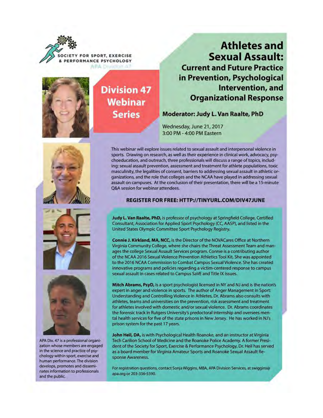Y FOR SPORT, EXERCISE & PERFORMANCE PSYCHOLOGY ARA DI



## **Division 47 Webinar Series**

### **Athletes and Sexual Assault: Current and Future Practice** in Prevention, Psychological Intervention, and **Organizational Response**

Moderator: Judy L. Van Raalte, PhD

Wednesday, June 21, 2017 3:00 PM - 4:00 PM Eastern





APA Div. 47 is a professional organization whose members are engaged in the science and practice of psychology within sport, exercise and human performance. The division develops, promotes and disseminates information to professionals and the public.

This webinar will explore issues related to sexual assault and interpersonal violence in sports. Drawing on research, as well as their experience in clinical work, advocacy, psychoeducation, and outreach, three professionals will discuss a range of topics, including: sexual assault prevention, assessment and treatment for athlete populations, toxic masculinity, the legalities of consent, barriers to addressing sexual assault in athletic organizations, and the role that colleges and the NCAA have played in addressing sexual assault on campuses. At the conclusion of their presentation, there will be a 15-minute Q&A session for webinar attendees.

#### REGISTER FOR FREE: HTTP://TINYURL.COM/DIV47JUNE

Judy L. Van Raalte, PhD, is professor of psychology at Springfield College, Certified Consultant, Association for Applied Sport Psychology (CC, AASP), and listed in the United States Olympic Committee Sport Psychology Registry.

Connie J. Kirkland, MA, NCC, is the Director of the NOVACares Office at Northern Virginia Community College, where she chairs the Threat Assessment Team and manages the college Sexual Assault Services program. Connie is a contributing author of the NCAA 2016 Sexual Violence Prevention Athletics Tool Kit. She was appointed to the 2016 NCAA Commission to Combat Campus Sexual Violence. She has created innovative programs and policies regarding a victim-centered response to campus sexual assault in cases related to Campus SaVE and Title IX issues.

Mitch Abrams, PsyD, is a sport psychologist licensed in NY and NJ and is the nation's expert in anger and violence in sports. The author of Anger Management in Sport: Understanding and Controlling Violence in Athletes, Dr. Abrams also consults with athletes, teams and universities on the prevention, risk assessment and treatment for athletes involved with domestic and/or sexual violence. Dr. Abrams coordinates the forensic track in Rutgers University's predoctoral internship and oversees mental health services for five of the state prisons in New Jersey. He has worked in NJ's prison system for the past 17 years.

John Heil, DA, is with Psychological Health Roanoke, and an instructor at Virginia Tech Carilion School of Medicine and the Roanoke Police Academy. A former President of the Society for Sport, Exercise & Performance Psychology, Dr. Heil has served as a board member for Virginia Amateur Sports and Roanoke Sexual Assault Response Awareness.

For registration questions, contact Sonja Wiggins, MBA, APA Division Services, at swiggins@ apa.org or 203-336-5590.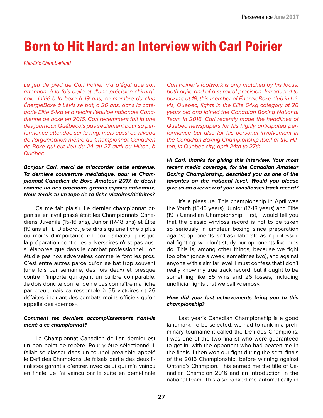# Born to Hit Hard: an Interview with Carl Poirier

*Pier-Éric Chamberland*

*Le jeu de pied de Carl Poirier n'a d'égal que son attention, à la fois agile et d'une précision chirurgicale. Initié à la boxe à 19 ans, ce membre du club ÉnergieBoxe à Lévis se bat, à 26 ans, dans la catégorie Élite 64kg et a rejoint l'équipe nationale Canadienne de boxe en 2016. Carl récemment fait la une des journaux Québécois pas seulement pour sa performance attendue sur le ring, mais aussi au niveau de l'organisation-même du Championnat Canadien de Boxe qui eut lieu du 24 au 27 avril au Hilton, à Québec.*

*Bonjour Carl, merci de m'accorder cette entrevue. Ta dernière couverture médiatique, pour le Championnat Canadien de Boxe Amateur 2017, te décrit comme un des prochains grands espoirs nationaux. Nous ferais-tu un topo de ta fiche victoires/défaites?*

Ça me fait plaisir. Le dernier championnat organisé en avril passé était les Championnats Canadiens Juvénile (15-16 ans), Junior (17-18 ans) et Élite (19 ans et +). D'abord, je te dirais qu'une fiche a plus ou moins d'importance en boxe amateur puisque la préparation contre les adversaires n'est pas aussi élaborée que dans le combat professionnel : on étudie pas nos adversaires comme le font les pros. C'est entre autres parce qu'on se bat trop souvent (une fois par semaine, des fois deux) et presque contre n'importe qui ayant un calibre comparable. Je dois donc te confier de ne pas connaître ma fiche par cœur, mais ça ressemble à 55 victoires et 26 défaites, incluant des combats moins officiels qu'on appelle des «demos».

#### *Comment tes derniers accomplissements t'ont-ils mené à ce championnat?*

Le Championnat Canadien de l'an dernier est un bon point de repère. Pour y être sélectionné, il fallait se classer dans un tournoi préalable appelé le Défi des Champions. Je faisais partie des deux finalistes garantis d'entrer, avec celui qui m'a vaincu en finale. Je l'ai vaincu par la suite en demi-finale *Carl Poirier's footwork is only matched by his focus, both agile and of a surgical precision. Introduced to boxing at 19, this member of ÉnergieBoxe club in Lévis, Québec, fights in the Elite 64kg category at 26 years old and joined the Canadian Boxing National Team in 2016. Carl recently made the headlines of Quebec newspapers for his highly anticipated performance but also for his personal involvement in the Canadian Boxing Championship itself at the Hilton, in Quebec city, april 24th to 27th.*

*Hi Carl, thanks for giving this interview. Your most recent media coverage, for the Canadian Amateur Boxing Championship, described you as one of the favorites on the national level. Would you please give us an overview of your wins/losses track record?*

It's a pleasure. This championship in April was the Youth (15-16 years), Junior (17-18 years) and Elite (19+) Canadian Championship. First, I would tell you that the classic win/loss record is not to be taken so seriously in amateur boxing since preparation against opponents isn't as elaborate as in professional fighting: we don't study our opponents like pros do. This is, among other things, because we fight too often (once a week, sometimes two), and against anyone with a similar level. I must confess that I don't really know my true track record, but it ought to be something like 55 wins and 26 losses, including unofficial fights that we call «demos».

#### *How did your last achievements bring you to this championship?*

Last year's Canadian Championship is a good landmark. To be selected, we had to rank in a preliminary tournament called the Défi des Champions. I was one of the two finalist who were guaranteed to get in, with the opponent who had beaten me in the finals. I then won our fight during the semi-finals of the 2016 Championship, before winning against Ontario's Champion. This earned me the title of Canadian Champion 2016 and an introduction in the national team. This also ranked me automatically in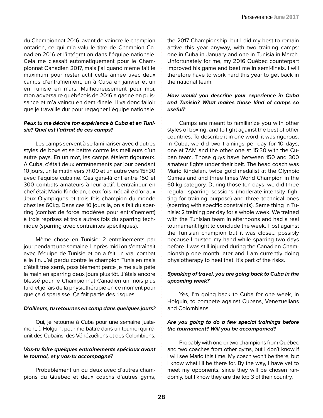du Championnat 2016, avant de vaincre le champion ontarien, ce qui m'a valu le titre de Champion Canadien 2016 et l'intégration dans l'équipe nationale. Cela me classait automatiquement pour le Championnat Canadien 2017, mais j'ai quand même fait le maximum pour rester actif cette année avec deux camps d'entraînement, un à Cuba en janvier et un en Tunisie en mars. Malheureusement pour moi, mon adversaire québécois de 2016 a gagné en puissance et m'a vaincu en demi-finale. Il va donc falloir que je travaille dur pour regagner l'équipe nationale.

#### *Peux tu me décrire ton expérience à Cuba et en Tunisie? Quel est l'attrait de ces camps?*

Les camps servent à se familiariser avec d'autres styles de boxe et se battre contre les meilleurs d'un autre pays. En un mot, les camps étaient rigoureux. À Cuba, c'était deux entraînements par jour pendant 10 jours, un le matin vers 7h00 et un autre vers 15h30 avec l'équipe cubaine. Ces gars-là ont entre 150 et 300 combats amateurs à leur actif. L'entraîneur en chef était Mario Kindelan, deux fois médaillé d'or aux Jeux Olympiques et trois fois champion du monde chez les 60kg. Dans ces 10 jours là, on a fait du sparring (combat de force modérée pour entraînement) à trois reprises et trois autres fois du sparring technique (sparring avec contraintes spécifiques).

Même chose en Tunisie: 2 entraînements par jour pendant une semaine. L'après-midi on s'entraînait avec l'équipe de Tunisie et on a fait un vrai combat à la fin. J'ai perdu contre le champion Tunisien mais c'était très serré, possiblement parce je me suis pété la main en sparring deux jours plus tôt. J'étais encore blessé pour le Championnat Canadien un mois plus tard et je fais de la physiothérapie en ce moment pour que ça disparaisse. Ça fait partie des risques.

#### *D'ailleurs, tu retournes en camp dans quelques jours?*

Oui, je retourne à Cuba pour une semaine justement, à Holguin, pour me battre dans un tournoi qui réunit des Cubains, des Vénézuéliens et des Colombiens.

#### *Vas-tu faire quelques entraînements spéciaux avant le tournoi, et y vas-tu accompagné?*

Probablement un ou deux avec d'autres champions du Québec et deux coachs d'autres gyms, the 2017 Championship, but I did my best to remain active this year anyway, with two training camps: one in Cuba in January and one in Tunisia in March. Unfortunately for me, my 2016 Québec counterpart improved his game and beat me in semi-finals. I will therefore have to work hard this year to get back in the national team.

#### *How would you describe your experience in Cuba and Tunisia? What makes those kind of camps so useful?*

Camps are meant to familiarize you with other styles of boxing, and to fight against the best of other countries. To describe it in one word, it was rigorous. In Cuba, we did two trainings per day for 10 days, one at 7AM and the other one at 15:30 with the Cuban team. Those guys have between 150 and 300 amateur fights under their belt. The head coach was Mario Kindelan, twice gold medalist at the Olympic Games and and three times World Champion in the 60 kg category. During those ten days, we did three regular sparring sessions (moderate-intensity fighting for training purpose) and three technical ones (sparring with specific constraints). Same thing in Tunisia: 2 training per day for a whole week. We trained with the Tunisian team in afternoons and had a real tournament fight to conclude the week. I lost against the Tunisian champion but it was close… possibly because I busted my hand while sparring two days before. I was still injured during the Canadian Championship one month later and I am currently doing physiotherapy to heal that. It's part of the risks.

#### *Speaking of travel, you are going back to Cuba in the upcoming week?*

Yes, I'm going back to Cuba for one week, in Holguin, to compete against Cubans, Venezuelians and Colombians.

#### *Are you going to do a few special trainings before the tournament? Will you be accompanied?*

Probably with one or two champions from Québec and two coaches from other gyms, but I don't know if I will see Mario this time. My coach won't be there, but I know what I'll be there for. By the way, I have yet to meet my opponents, since they will be chosen randomly, but I know they are the top 3 of their country.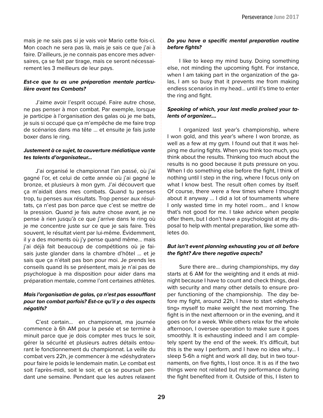mais je ne sais pas si je vais voir Mario cette fois-ci. Mon coach ne sera pas là, mais je sais ce que j'ai à faire. D'ailleurs, je ne connais pas encore mes adversaires, ça se fait par tirage, mais ce seront nécessairement les 3 meilleurs de leur pays.

#### *Est-ce que tu as une préparation mentale particulière avant tes Combats?*

J'aime avoir l'esprit occupé. Faire autre chose, ne pas penser à mon combat. Par exemple, lorsque je participe à l'organisation des galas où je me bats, je suis si occupé que ça m'empêche de me faire trop de scénarios dans ma tête … et ensuite je fais juste boxer dans le ring.

#### *Justement à ce sujet, ta couverture médiatique vante tes talents d'organisateur…*

J'ai organisé le championnat l'an passé, où j'ai gagné l'or, et celui de cette année où j'ai gagné le bronze, et plusieurs à mon gym. J'ai découvert que ça m'aidait dans mes combats. Quand tu penses trop, tu penses aux résultats. Trop penser aux résultats, ça n'est pas bon parce que c'est se mettre de la pression. Quand je fais autre chose avant, je ne pense à rien jusqu'à ce que j'arrive dans le ring où je me concentre juste sur ce que je sais faire. Très souvent, le résultat vient par lui-même. Évidemment, il y a des moments où j'y pense quand même… mais j'ai déjà fait beaucoup de compétitions où je faisais juste glander dans la chambre d'hôtel … et je sais que ça n'était pas bon pour moi. Je prends les conseils quand ils se présentent, mais je n'ai pas de psychologue à ma disposition pour aider dans ma préparation mentale, comme l'ont certaines athlètes.

#### *Mais l'organisation de galas, ça n'est pas essoufflant pour ton combat parfois? Est-ce qu'il y a des aspects négatifs?*

C'est certain… en championnat, ma journée commence à 6h AM pour la pesée et se termine à minuit parce que je dois compter mes trucs le soir, gérer la sécurité et plusieurs autres détails entourant le fonctionnement du championnat. La veille du combat vers 22h, je commencer à me «déshydrater» pour faire le poids le lendemain matin. Le combat est soit l'après-midi, soit le soir, et ça se poursuit pendant une semaine. Pendant que les autres relaxent

#### *Do you have a specific mental preparation routine before fights?*

I like to keep my mind busy. Doing something else, not minding the upcoming fight. For instance, when I am taking part in the organization of the galas, I am so busy that it prevents me from making endless scenarios in my head… until it's time to enter the ring and fight.

#### *Speaking of which, your last media praised your talents of organizer….*

I organized last year's championship, where I won gold, and this year's where I won bronze, as well as a few at my gym. I found out that it was helping me during fights. When you think too much, you think about the results. Thinking too much about the results is no good because it puts pressure on you. When I do something else before the fight, I think of nothing until I step in the ring, where I focus only on what I know best. The result often comes by itself. Of course, there were a few times where I thought about it anyway … I did a lot of tournaments where I only wasted time in my hotel room… and I know that's not good for me. I take advice when people offer them, but I don't have a psychologist at my disposal to help with mental preparation, like some athletes do.

#### *But isn't event planning exhausting you at all before the fight? Are there negative aspects?*

Sure there are… during championships, my day starts at 6 AM for the weighting and it ends at midnight because I have to count and check things, deal with security and many other details to ensure proper functioning of the championship. The day before my fight, around 22h, I have to start «dehydrating» myself to make weight the next morning. The fight is in the next afternoon or in the evening, and it goes on for a week. While others relax for the whole afternoon, I oversee operation to make sure it goes smoothly. It is exhausting indeed and I am completely spent by the end of the week. It's difficult, but this is the way I perform, and I have no idea why… I sleep 5-6h a night and work all day, but in two tournaments, on five fights, I lost once. It is as if the two things were not related but my performance during the fight benefited from it. Outside of this, I listen to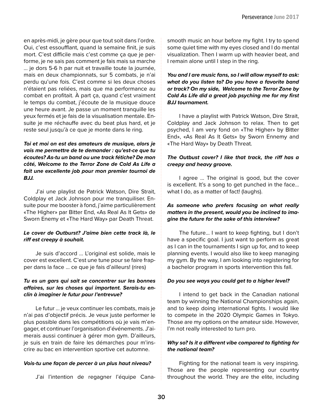en après-midi, je gère pour que tout soit dans l'ordre. Oui, c'est essoufflant, quand la semaine finit, je suis mort. C'est difficile mais c'est comme ça que je performe, je ne sais pas comment je fais mais sa marche … je dors 5-6 h par nuit et travaille toute la journée, mais en deux championnats, sur 5 combats, je n'ai perdu qu'une fois. C'est comme si les deux choses n'étaient pas reliées, mais que ma performance au combat en profitait. À part ça, quand c'est vraiment le temps du combat, j'écoute de la musique douce une heure avant. Je passe un moment tranquille les yeux fermés et je fais de la visualisation mentale. Ensuite je me réchauffe avec du beat plus hard, et je reste seul jusqu'à ce que je monte dans le ring.

*Toi et moi on est des amateurs de musique, alors je vais me permettre de te demander : qu'est-ce que tu écoutes? As-tu un band ou une track fétiche? De mon côté, Welcome to the Terror Zone de Cold As Life a fait une excellente job pour mon premier tournoi de BJJ.* 

J'ai une playlist de Patrick Watson, Dire Strait, Coldplay et Jack Johnson pour me tranquiliser. Ensuite pour me booster à fond, j'aime particulièrement «The Higher» par Bitter End, «As Real As It Gets» de Sworn Enemy et «The Hard Way» par Death Threat.

#### *Le cover de Outburst? J'aime bien cette track là, le riff est creepy à souhait.*

Je suis d'accord ... L'original est solide, mais le cover est excellent. C'est une tune pour se faire frapper dans la face … ce que je fais d'ailleurs! (rires)

#### *Tu es un gars qui sait se concentrer sur les bonnes affaires, sur les choses qui importent. Serais-tu enclin à imaginer le futur pour l'entrevue?*

Le futur … je veux continuer les combats, mais je n'ai pas d'objectif précis. Je veux juste performer le plus possible dans les compétitions où je vais m'engager, et continuer l'organisation d'événements. J'aimerais aussi continuer à gérer mon gym. D'ailleurs, je suis en train de faire les démarches pour m'inscrire au bac en intervention sportive cet automne.

#### *Vois-tu une façon de percer à un plus haut niveau?*

J'ai l'intention de regagner l'équipe Cana-

smooth music an hour before my fight. I try to spend some quiet time with my eyes closed and I do mental visualization. Then I warm up with heavier beat, and I remain alone until I step in the ring.

#### *You and I are music fans, so I will allow myself to ask: what do you listen to? Do you have a favorite band or track? On my side, Welcome to the Terror Zone by Cold As Life did a great job psyching me for my first BJJ tournament.*

I have a playlist with Patrick Watson, Dire Strait, Coldplay and Jack Johnson to relax. Then to get psyched, I am very fond on «The Higher» by Bitter End», «As Real As It Gets» by Sworn Ennemy and «The Hard Way» by Death Threat.

#### *The Outbust cover? I like that track, the riff has a creepy and heavy groove.*

I agree … The original is good, but the cover is excellent. It's a song to get punched in the face… what I do, as a matter of fact! (laughs).

#### *As someone who prefers focusing on what really matters in the present, would you be inclined to imagine the future for the sake of this interview?*

The future… I want to keep fighting, but I don't have a specific goal. I just want to perform as great as I can in the tournaments I sign up for, and to keep planning events. I would also like to keep managing my gym. By the way, I am looking into registering for a bachelor program in sports intervention this fall.

#### *Do you see ways you could get to a higher level?*

I intend to get back in the Canadian national team by winning the National Championships again, and to keep doing international fights. I would like to compete in the 2020 Olympic Games in Tokyo. Those are my options on the amateur side. However, I'm not really interested to turn pro.

#### *Why so? Is it a different vibe compared to fighting for the national team?*

Fighting for the national team is very inspiring. Those are the people representing our country throughout the world. They are the elite, including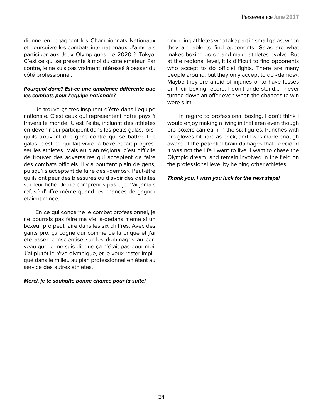dienne en regagnant les Championnats Nationaux et poursuivre les combats internationaux. J'aimerais participer aux Jeux Olympiques de 2020 à Tokyo. C'est ce qui se présente à moi du côté amateur. Par contre, je ne suis pas vraiment intéressé à passer du côté professionnel.

#### *Pourquoi donc? Est-ce une ambiance différente que les combats pour l'équipe nationale?*

Je trouve ça très inspirant d'être dans l'équipe nationale. C'est ceux qui représentent notre pays à travers le monde. C'est l'élite, incluant des athlètes en devenir qui participent dans les petits galas, lorsqu'ils trouvent des gens contre qui se battre. Les galas, c'est ce qui fait vivre la boxe et fait progresser les athlètes. Mais au plan régional c'est difficile de trouver des adversaires qui acceptent de faire des combats officiels. Il y a pourtant plein de gens, puisqu'ils acceptent de faire des «demos». Peut-être qu'ils ont peur des blessures ou d'avoir des défaites sur leur fiche. Je ne comprends pas… je n'ai jamais refusé d'offre même quand les chances de gagner étaient mince.

En ce qui concerne le combat professionnel, je ne pourrais pas faire ma vie là-dedans même si un boxeur pro peut faire dans les six chiffres. Avec des gants pro, ça cogne dur comme de la brique et j'ai été assez conscientisé sur les dommages au cerveau que je me suis dit que ça n'était pas pour moi. J'ai plutôt le rêve olympique, et je veux rester impliqué dans le milieu au plan professionnel en étant au service des autres athlètes.

#### *Merci, je te souhaite bonne chance pour la suite!*

emerging athletes who take part in small galas, when they are able to find opponents. Galas are what makes boxing go on and make athletes evolve. But at the regional level, it is difficult to find opponents who accept to do official fights. There are many people around, but they only accept to do «demos». Maybe they are afraid of injuries or to have losses on their boxing record. I don't understand… I never turned down an offer even when the chances to win were slim.

In regard to professional boxing, I don't think I would enjoy making a living in that area even though pro boxers can earn in the six figures. Punches with pro gloves hit hard as brick, and I was made enough aware of the potential brain damages that I decided it was not the life I want to live. I want to chase the Olympic dream, and remain involved in the field on the professional level by helping other athletes.

#### *Thank you, I wish you luck for the next steps!*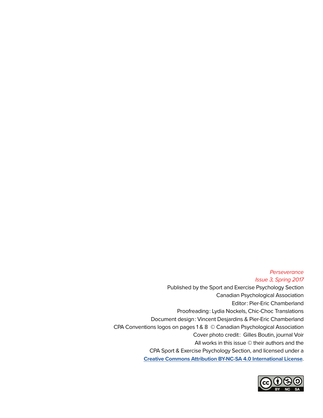#### *Perseverance Issue 3, Spring 2017*

Published by the Sport and Exercise Psychology Section Canadian Psychological Association Editor : Pier-Eric Chamberland Proofreading : Lydia Nockels, Chic-Choc Translations Document design : Vincent Desjardins & Pier-Eric Chamberland CPA Conventions logos on pages 1 & 8 © Canadian Psychological Association Cover photo credit : Gilles Boutin, journal Voir All works in this issue © their authors and the CPA Sport & Exercise Psychology Section, and licensed under a **Creative Commons Attribution BY-NC-SA 4.0 International License**.